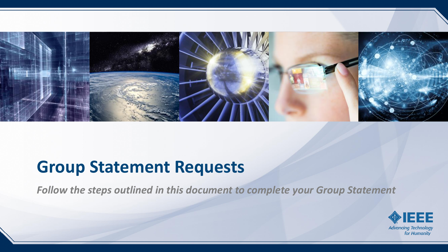

*Follow the steps outlined in this document to complete your Group Statement*

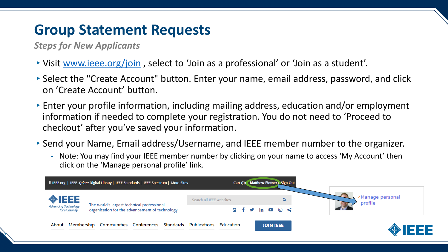*Steps for New Applicants*

2

- ▸Visit [www.ieee.org/join](ieee.org/join) , select to 'Join as a professional' or 'Join as a student'.
- ▸Select the "Create Account" button. Enter your name, email address, password, and click on 'Create Account' button.
- ▸Enter your profile information, including mailing address, education and/or employment information if needed to complete your registration. You do not need to 'Proceed to checkout' after you've saved your information.
- ▸Send your Name, Email address/Username, and IEEE member number to the organizer.
	- Note: You may find your IEEE member number by clicking on your name to access 'My Account' then click on the 'Manage personal profile' link.

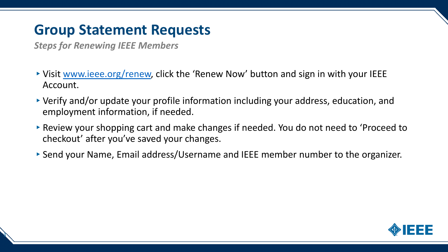*Steps for Renewing IEEE Members*

3

- ▶ Visit [www.ieee.org/renew](http://www.ieee.org/renew), click the 'Renew Now' button and sign in with your IEEE Account.
- ▸Verify and/or update your profile information including your address, education, and employment information, if needed.
- ▶ Review your shopping cart and make changes if needed. You do not need to 'Proceed to checkout' after you've saved your changes.
- ▸Send your Name, Email address/Username and IEEE member number to the organizer.